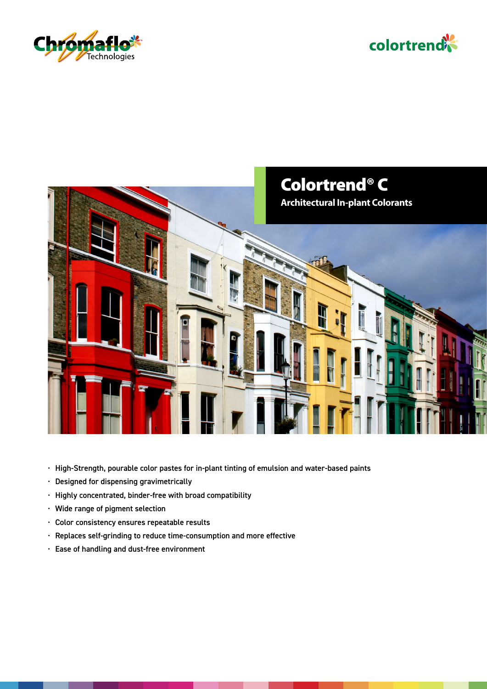





- High-Strength, pourable color pastes for in-plant tinting of emulsion and water-based paints
- Designed for dispensing gravimetrically
- Highly concentrated, binder-free with broad compatibility
- Wide range of pigment selection
- Color consistency ensures repeatable results
- Replaces self-grinding to reduce time-consumption and more effective
- Ease of handling and dust-free environment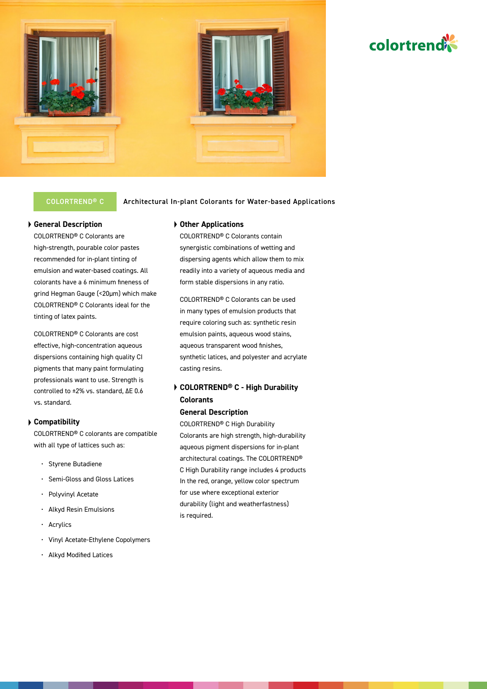

# COLORTREND<sup>®</sup> C **Architectural In-plant Colorants for Water-based Applications**

# **General Description**

COLORTREND® C Colorants are high-strength, pourable color pastes recommended for in-plant tinting of emulsion and water-based coatings. All colorants have a 6 minimum fineness of grind Hegman Gauge (<20μm) which make COLORTREND® C Colorants ideal for the tinting of latex paints.

COLORTREND® C Colorants are cost effective, high-concentration aqueous dispersions containing high quality CI pigments that many paint formulating professionals want to use. Strength is controlled to ±2% vs. standard, ΔE 0.6 vs. standard.

### **Compatibility**

COLORTREND® C colorants are compatible with all type of lattices such as:

- Styrene Butadiene
- Semi-Gloss and Gloss Latices
- Polyvinyl Acetate
- Alkyd Resin Emulsions
- Acrylics
- Vinyl Acetate-Ethylene Copolymers
- Alkyd Modified Latices

# **Other Applications**

COLORTREND® C Colorants contain synergistic combinations of wetting and dispersing agents which allow them to mix readily into a variety of aqueous media and form stable dispersions in any ratio.

COLORTREND® C Colorants can be used in many types of emulsion products that require coloring such as: synthetic resin emulsion paints, aqueous wood stains, aqueous transparent wood finishes, synthetic latices, and polyester and acrylate casting resins.

# **COLORTREND® C - High Durability Colorants**

### **General Description**

COLORTREND® C High Durability Colorants are high strength, high-durability aqueous pigment dispersions for in-plant architectural coatings. The COLORTREND® C High Durability range includes 4 products In the red, orange, yellow color spectrum for use where exceptional exterior durability (light and weatherfastness) is required.

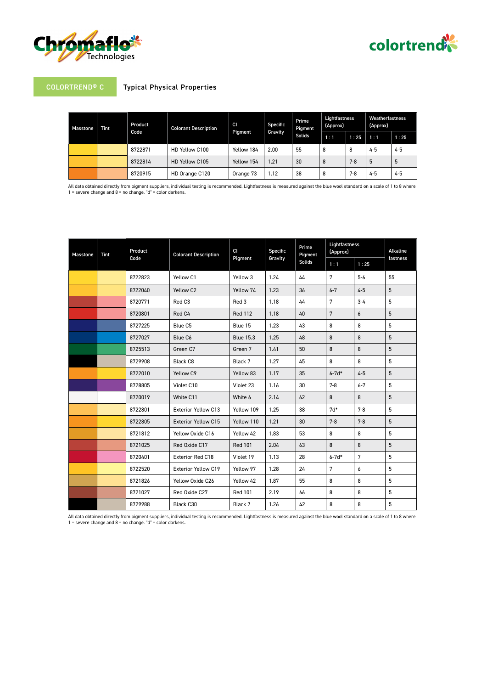



# COLORTREND® C Typical Physical Properties

| Masstone | <b>Tint</b> | Product<br>Code | <b>Colorant Description</b> | <b>CI</b><br><b>Pigment</b> | Specific<br>Gravity | Prime<br>Pigment<br><b>Solids</b> | Lightfastness<br>(Approx) |         | Weatherfastness<br>(Approx) |         |
|----------|-------------|-----------------|-----------------------------|-----------------------------|---------------------|-----------------------------------|---------------------------|---------|-----------------------------|---------|
|          |             |                 |                             |                             |                     |                                   | 1:1                       | 1:25    | 1:1                         | 1:25    |
|          |             | 8722871         | HD Yellow C100              | Yellow 184                  | 2.00                | 55                                | 8                         | 8       | $4 - 5$                     | 4-5     |
|          |             | 8722814         | HD Yellow C105              | Yellow 154                  | 1.21                | 30                                | 8                         | $7 - 8$ | 5                           | 5       |
|          |             | 8720915         | HD Orange C120              | Orange 73                   | 1.12                | 38                                | 8                         | $7-8$   | $4 - 5$                     | $4 - 5$ |

All data obtained directly from pigment suppliers, individual testing is recommended. Lightfastness is measured against the blue wool standard on a scale of 1 to 8 where<br>1 = severe change and 8 = no change. "d" = color dar

| <b>Masstone</b> | <b>Tint</b> | Product<br>Code | <b>Colorant Description</b> | CI<br>Pigment    | Specific<br>Gravity | Prime<br>Pigment<br><b>Solids</b> | Lightfastness<br>(Approx) |                  | Alkaline |
|-----------------|-------------|-----------------|-----------------------------|------------------|---------------------|-----------------------------------|---------------------------|------------------|----------|
|                 |             |                 |                             |                  |                     |                                   | 1:1                       | 1:25             | fastness |
|                 |             | 8722823         | Yellow C1                   | Yellow 3         | 1.24                | 44                                | 7                         | $5-6$            | 55       |
|                 |             | 8722040         | Yellow C <sub>2</sub>       | Yellow 74        | 1.23                | 36                                | $6 - 7$                   | $4 - 5$          | 5        |
|                 |             | 8720771         | Red C3                      | Red 3            | 1.18                | 44                                | 7                         | $3 - 4$          | 5        |
|                 |             | 8720801         | Red C4                      | <b>Red 112</b>   | 1.18                | 40                                | 7                         | $\boldsymbol{6}$ | 5        |
|                 |             | 8727225         | Blue C5                     | Blue 15          | 1.23                | 43                                | 8                         | 8                | 5        |
|                 |             | 8727027         | Blue C6                     | <b>Blue 15.3</b> | 1.25                | 48                                | 8                         | 8                | 5        |
|                 |             | 8725513         | Green C7                    | Green 7          | 1.41                | 50                                | 8                         | 8                | 5        |
|                 |             | 8729908         | Black C8                    | Black 7          | 1.27                | 45                                | 8                         | 8                | 5        |
|                 |             | 8722010         | Yellow C9                   | Yellow 83        | 1.17                | 35                                | $6 - 7d*$                 | $4 - 5$          | 5        |
|                 |             | 8728805         | Violet C10                  | Violet 23        | 1.16                | 30                                | $7 - 8$                   | $6 - 7$          | 5        |
|                 |             | 8720019         | White C11                   | White 6          | 2.14                | 62                                | 8                         | 8                | 5        |
|                 |             | 8722801         | <b>Exterior Yellow C13</b>  | Yellow 109       | 1.25                | 38                                | $7d*$                     | $7 - 8$          | 5        |
|                 |             | 8722805         | <b>Exterior Yellow C15</b>  | Yellow 110       | 1.21                | 30                                | $7 - 8$                   | $7 - 8$          | 5        |
|                 |             | 8721812         | Yellow Oxide C16            | Yellow 42        | 1.83                | 53                                | 8                         | 8                | 5        |
|                 |             | 8721025         | Red Oxide C17               | <b>Red 101</b>   | 2.04                | 63                                | 8                         | 8                | 5        |
|                 |             | 8720401         | Exterior Red C18            | Violet 19        | 1.13                | 28                                | $6 - 7d*$                 | 7                | 5        |
|                 |             | 8722520         | Exterior Yellow C19         | Yellow 97        | 1.28                | 24                                | 7                         | 6                | 5        |
|                 |             | 8721826         | Yellow Oxide C26            | Yellow 42        | 1.87                | 55                                | 8                         | 8                | 5        |
|                 |             | 8721027         | Red Oxide C27               | <b>Red 101</b>   | 2.19                | 66                                | 8                         | 8                | 5        |
|                 |             | 8729988         | Black C30                   | Black 7          | 1.26                | 42                                | 8                         | 8                | 5        |

All data obtained directly from pigment suppliers, individual testing is recommended. Lightfastness is measured against the blue wool standard on a scale of 1 to 8 where<br>1 = severe change and 8 = no change. "d" = color dar